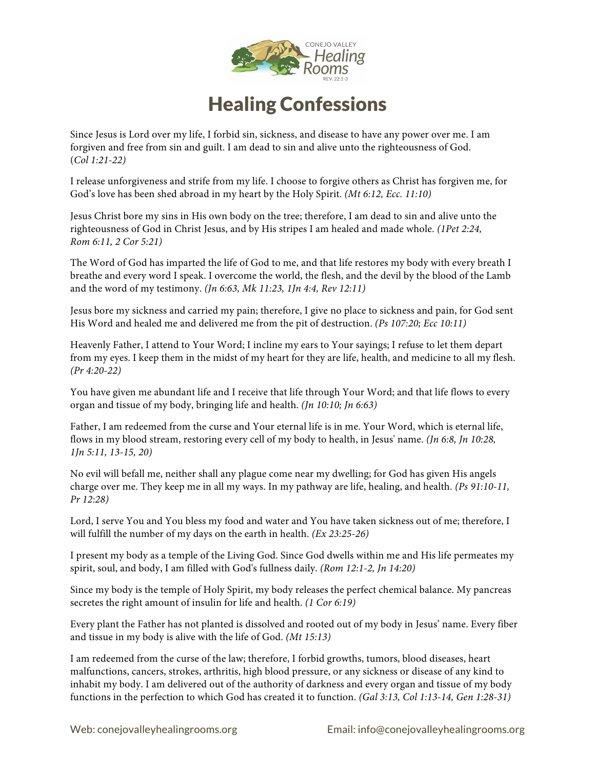

## Healing Confessions

Since Jesus is Lord over my life, I forbid sin, sickness, and disease to have any power over me. I am forgiven and free from sin and guilt. I am dead to sin and alive unto the righteousness of God. (*Col 1:21-22)*

I release unforgiveness and strife from my life. I choose to forgive others as Christ has forgiven me, for God's love has been shed abroad in my heart by the Holy Spirit. *(Mt 6:12, Ecc. 11:10)*

Jesus Christ bore my sins in His own body on the tree; therefore, I am dead to sin and alive unto the righteousness of God in Christ Jesus, and by His stripes I am healed and made whole. *(1Pet 2:24, Rom 6:11, 2 Cor 5:21)*

The Word of God has imparted the life of God to me, and that life restores my body with every breath I breathe and every word I speak. I overcome the world, the flesh, and the devil by the blood of the Lamb and the word of my testimony. *(Jn 6:63, Mk 11:23, 1Jn 4:4, Rev 12:11)*

Jesus bore my sickness and carried my pain; therefore, I give no place to sickness and pain, for God sent His Word and healed me and delivered me from the pit of destruction. *(Ps 107:20; Ecc 10:11)*

Heavenly Father, I attend to Your Word; I incline my ears to Your sayings; I refuse to let them depart from my eyes. I keep them in the midst of my heart for they are life, health, and medicine to all my flesh. *(Pr 4:20-22)*

You have given me abundant life and I receive that life through Your Word; and that life flows to every organ and tissue of my body, bringing life and health. *(Jn 10:10; Jn 6:63)*

Father, I am redeemed from the curse and Your eternal life is in me. Your Word, which is eternal life, flows in my blood stream, restoring every cell of my body to health, in Jesus' name. *(Jn 6:8, Jn 10:28, 1Jn 5:11, 13-15, 20)*

No evil will befall me, neither shall any plague come near my dwelling; for God has given His angels charge over me. They keep me in all my ways. In my pathway are life, healing, and health. *(Ps 91:10-11, Pr 12:28)*

Lord, I serve You and You bless my food and water and You have taken sickness out of me; therefore, I will fulfill the number of my days on the earth in health. *(Ex 23:25-26)*

I present my body as a temple of the Living God. Since God dwells within me and His life permeates my spirit, soul, and body, I am filled with God's fullness daily. *(Rom 12:1-2, Jn 14:20)*

Since my body is the temple of Holy Spirit, my body releases the perfect chemical balance. My pancreas secretes the right amount of insulin for life and health. *(1 Cor 6:19)*

Every plant the Father has not planted is dissolved and rooted out of my body in Jesus' name. Every fiber and tissue in my body is alive with the life of God. *(Mt 15:13)*

I am redeemed from the curse of the law; therefore, I forbid growths, tumors, blood diseases, heart malfunctions, cancers, strokes, arthritis, high blood pressure, or any sickness or disease of any kind to inhabit my body. I am delivered out of the authority of darkness and every organ and tissue of my body functions in the perfection to which God has created it to function. *(Gal 3:13, Col 1:13-14, Gen 1:28-31)*